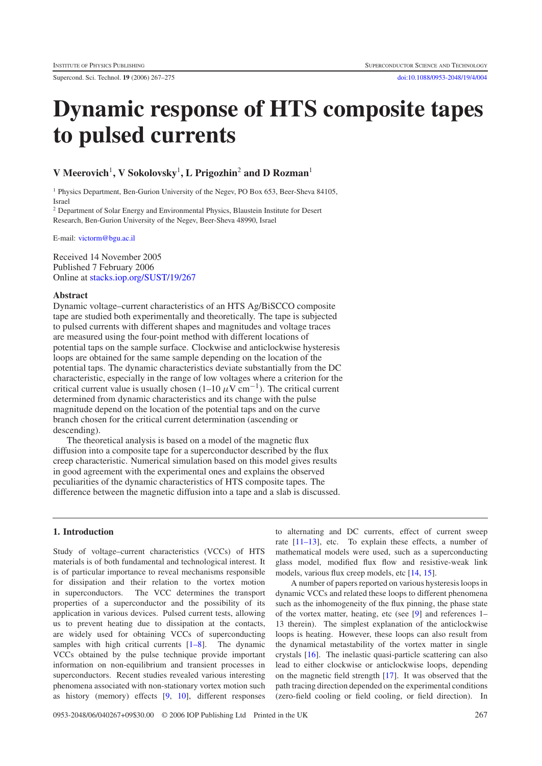Supercond. Sci. Technol. **19** (2006) 267–275 [doi:10.1088/0953-2048/19/4/004](http://dx.doi.org/10.1088/0953-2048/19/4/004)

# **Dynamic response of HTS composite tapes to pulsed currents**

# **V Meerovich**<sup>1</sup>**, V Sokolovsky**<sup>1</sup> **, L Prigozhin**<sup>2</sup> **and D Rozman**<sup>1</sup>

<sup>1</sup> Physics Department, Ben-Gurion University of the Negev, PO Box 653, Beer-Sheva 84105, Israel

<sup>2</sup> Department of Solar Energy and Environmental Physics, Blaustein Institute for Desert Research, Ben-Gurion University of the Negev, Beer-Sheva 48990, Israel

E-mail: [victorm@bgu.ac.il](mailto:victorm@bgu.ac.il)

Received 14 November 2005 Published 7 February 2006 Online at [stacks.iop.org/SUST/19/267](http://stacks.iop.org/SUST/19/267)

#### **Abstract**

Dynamic voltage–current characteristics of an HTS Ag/BiSCCO composite tape are studied both experimentally and theoretically. The tape is subjected to pulsed currents with different shapes and magnitudes and voltage traces are measured using the four-point method with different locations of potential taps on the sample surface. Clockwise and anticlockwise hysteresis loops are obtained for the same sample depending on the location of the potential taps. The dynamic characteristics deviate substantially from the DC characteristic, especially in the range of low voltages where a criterion for the critical current value is usually chosen (1–10  $\mu$ V cm<sup>-1</sup>). The critical current determined from dynamic characteristics and its change with the pulse magnitude depend on the location of the potential taps and on the curve branch chosen for the critical current determination (ascending or descending).

The theoretical analysis is based on a model of the magnetic flux diffusion into a composite tape for a superconductor described by the flux creep characteristic. Numerical simulation based on this model gives results in good agreement with the experimental ones and explains the observed peculiarities of the dynamic characteristics of HTS composite tapes. The difference between the magnetic diffusion into a tape and a slab is discussed.

# **1. Introduction**

Study of voltage–current characteristics (VCCs) of HTS materials is of both fundamental and technological interest. It is of particular importance to reveal mechanisms responsible for dissipation and their relation to the vortex motion in superconductors. The VCC determines the transport properties of a superconductor and the possibility of its application in various devices. Pulsed current tests, allowing us to prevent heating due to dissipation at the contacts, are widely used for obtaining VCCs of superconducting samples with high critical currents  $[1-8]$ . The dynamic VCCs obtained by the pulse technique provide important information on non-equilibrium and transient processes in superconductors. Recent studies revealed various interesting phenomena associated with non-stationary vortex motion such as history (memory) effects [\[9,](#page-8-0) [10\]](#page-8-1), different responses

to alternating and DC currents, effect of current sweep rate [\[11–13\]](#page-8-2), etc. To explain these effects, a number of mathematical models were used, such as a superconducting glass model, modified flux flow and resistive-weak link models, various flux creep models, etc [\[14,](#page-8-3) [15\]](#page-8-4).

A number of papers reported on various hysteresis loops in dynamic VCCs and related these loops to different phenomena such as the inhomogeneity of the flux pinning, the phase state of the vortex matter, heating, etc (see [\[9\]](#page-8-0) and references 1– 13 therein). The simplest explanation of the anticlockwise loops is heating. However, these loops can also result from the dynamical metastability of the vortex matter in single crystals [\[16\]](#page-8-5). The inelastic quasi-particle scattering can also lead to either clockwise or anticlockwise loops, depending on the magnetic field strength [\[17\]](#page-8-6). It was observed that the path tracing direction depended on the experimental conditions (zero-field cooling or field cooling, or field direction). In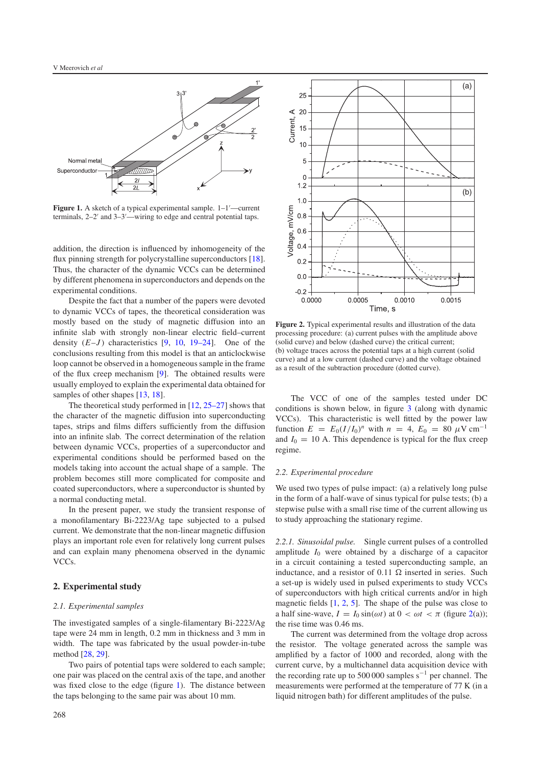<span id="page-1-0"></span>

Figure 1. A sketch of a typical experimental sample.  $1-1'$ —current terminals,  $2-2'$  and  $3-3'$ —wiring to edge and central potential taps.

addition, the direction is influenced by inhomogeneity of the flux pinning strength for polycrystalline superconductors [\[18\]](#page-8-7). Thus, the character of the dynamic VCCs can be determined by different phenomena in superconductors and depends on the experimental conditions.

Despite the fact that a number of the papers were devoted to dynamic VCCs of tapes, the theoretical consideration was mostly based on the study of magnetic diffusion into an infinite slab with strongly non-linear electric field–current density  $(E-J)$  characteristics  $[9, 10, 19-24]$  $[9, 10, 19-24]$  $[9, 10, 19-24]$  $[9, 10, 19-24]$ . One of the conclusions resulting from this model is that an anticlockwise loop cannot be observed in a homogeneous sample in the frame of the flux creep mechanism [\[9\]](#page-8-0). The obtained results were usually employed to explain the experimental data obtained for samples of other shapes [\[13,](#page-8-9) [18\]](#page-8-7).

The theoretical study performed in [\[12,](#page-8-10) [25–27\]](#page-8-11) shows that the character of the magnetic diffusion into superconducting tapes, strips and films differs sufficiently from the diffusion into an infinite slab. The correct determination of the relation between dynamic VCCs, properties of a superconductor and experimental conditions should be performed based on the models taking into account the actual shape of a sample. The problem becomes still more complicated for composite and coated superconductors, where a superconductor is shunted by a normal conducting metal.

In the present paper, we study the transient response of a monofilamentary Bi-2223/Ag tape subjected to a pulsed current. We demonstrate that the non-linear magnetic diffusion plays an important role even for relatively long current pulses and can explain many phenomena observed in the dynamic VCCs.

# **2. Experimental study**

# *2.1. Experimental samples*

The investigated samples of a single-filamentary Bi-2223/Ag tape were 24 mm in length, 0.2 mm in thickness and 3 mm in width. The tape was fabricated by the usual powder-in-tube method [\[28,](#page-8-12) [29\]](#page-8-13).

Two pairs of potential taps were soldered to each sample; one pair was placed on the central axis of the tape, and another was fixed close to the edge (figure [1\)](#page-1-0). The distance between the taps belonging to the same pair was about 10 mm.

<span id="page-1-1"></span>

**Figure 2.** Typical experimental results and illustration of the data processing procedure: (a) current pulses with the amplitude above (solid curve) and below (dashed curve) the critical current; (b) voltage traces across the potential taps at a high current (solid curve) and at a low current (dashed curve) and the voltage obtained as a result of the subtraction procedure (dotted curve).

The VCC of one of the samples tested under DC conditions is shown below, in figure [3](#page-2-0) (along with dynamic VCCs). This characteristic is well fitted by the power law function  $E = E_0 (I/I_0)^n$  with  $n = 4$ ,  $E_0 = 80 \mu V \text{ cm}^{-1}$ and  $I_0 = 10$  A. This dependence is typical for the flux creep regime.

#### *2.2. Experimental procedure*

We used two types of pulse impact: (a) a relatively long pulse in the form of a half-wave of sinus typical for pulse tests; (b) a stepwise pulse with a small rise time of the current allowing us to study approaching the stationary regime.

*2.2.1. Sinusoidal pulse.* Single current pulses of a controlled amplitude *I*<sup>0</sup> were obtained by a discharge of a capacitor in a circuit containing a tested superconducting sample, an inductance, and a resistor of 0.11  $\Omega$  inserted in series. Such a set-up is widely used in pulsed experiments to study VCCs of superconductors with high critical currents and/or in high magnetic fields [\[1,](#page-7-0) [2,](#page-8-14) [5\]](#page-8-15). The shape of the pulse was close to a half sine-wave,  $I = I_0 \sin(\omega t)$  at  $0 < \omega t < \pi$  (figure [2\(](#page-1-1)a)); the rise time was 0.46 ms.

The current was determined from the voltage drop across the resistor. The voltage generated across the sample was amplified by a factor of 1000 and recorded, along with the current curve, by a multichannel data acquisition device with the recording rate up to 500 000 samples  $s^{-1}$  per channel. The measurements were performed at the temperature of 77 K (in a liquid nitrogen bath) for different amplitudes of the pulse.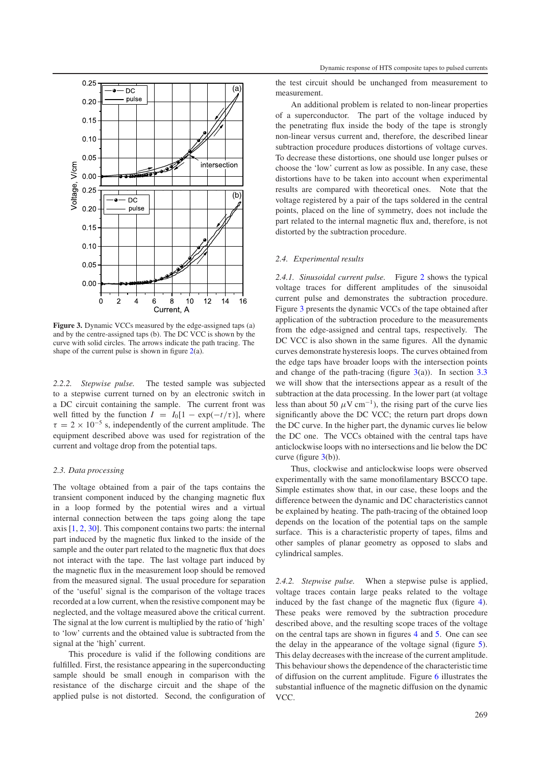<span id="page-2-0"></span>

**Figure 3.** Dynamic VCCs measured by the edge-assigned taps (a) and by the centre-assigned taps (b). The DC VCC is shown by the curve with solid circles. The arrows indicate the path tracing. The shape of the current pulse is shown in figure  $2(a)$  $2(a)$ .

<span id="page-2-1"></span>*2.2.2. Stepwise pulse.* The tested sample was subjected to a stepwise current turned on by an electronic switch in a DC circuit containing the sample. The current front was well fitted by the function  $I = I_0[1 - \exp(-t/\tau)]$ , where  $\tau = 2 \times 10^{-5}$  s, independently of the current amplitude. The equipment described above was used for registration of the current and voltage drop from the potential taps.

# *2.3. Data processing*

The voltage obtained from a pair of the taps contains the transient component induced by the changing magnetic flux in a loop formed by the potential wires and a virtual internal connection between the taps going along the tape axis [\[1,](#page-7-0) [2,](#page-8-14) [30\]](#page-8-16). This component contains two parts: the internal part induced by the magnetic flux linked to the inside of the sample and the outer part related to the magnetic flux that does not interact with the tape. The last voltage part induced by the magnetic flux in the measurement loop should be removed from the measured signal. The usual procedure for separation of the 'useful' signal is the comparison of the voltage traces recorded at a low current, when the resistive component may be neglected, and the voltage measured above the critical current. The signal at the low current is multiplied by the ratio of 'high' to 'low' currents and the obtained value is subtracted from the signal at the 'high' current.

This procedure is valid if the following conditions are fulfilled. First, the resistance appearing in the superconducting sample should be small enough in comparison with the resistance of the discharge circuit and the shape of the applied pulse is not distorted. Second, the configuration of

the test circuit should be unchanged from measurement to measurement.

An additional problem is related to non-linear properties of a superconductor. The part of the voltage induced by the penetrating flux inside the body of the tape is strongly non-linear versus current and, therefore, the described linear subtraction procedure produces distortions of voltage curves. To decrease these distortions, one should use longer pulses or choose the 'low' current as low as possible. In any case, these distortions have to be taken into account when experimental results are compared with theoretical ones. Note that the voltage registered by a pair of the taps soldered in the central points, placed on the line of symmetry, does not include the part related to the internal magnetic flux and, therefore, is not distorted by the subtraction procedure.

# *2.4. Experimental results*

*2.4.1. Sinusoidal current pulse.* Figure [2](#page-1-1) shows the typical voltage traces for different amplitudes of the sinusoidal current pulse and demonstrates the subtraction procedure. Figure [3](#page-2-0) presents the dynamic VCCs of the tape obtained after application of the subtraction procedure to the measurements from the edge-assigned and central taps, respectively. The DC VCC is also shown in the same figures. All the dynamic curves demonstrate hysteresis loops. The curves obtained from the edge taps have broader loops with the intersection points and change of the path-tracing (figure  $3(a)$  $3(a)$ ). In section  $3.3$ we will show that the intersections appear as a result of the subtraction at the data processing. In the lower part (at voltage less than about 50  $\mu$ V cm<sup>-1</sup>), the rising part of the curve lies significantly above the DC VCC; the return part drops down the DC curve. In the higher part, the dynamic curves lie below the DC one. The VCCs obtained with the central taps have anticlockwise loops with no intersections and lie below the DC curve (figure  $3(b)$  $3(b)$ ).

Thus, clockwise and anticlockwise loops were observed experimentally with the same monofilamentary BSCCO tape. Simple estimates show that, in our case, these loops and the difference between the dynamic and DC characteristics cannot be explained by heating. The path-tracing of the obtained loop depends on the location of the potential taps on the sample surface. This is a characteristic property of tapes, films and other samples of planar geometry as opposed to slabs and cylindrical samples.

*2.4.2. Stepwise pulse.* When a stepwise pulse is applied, voltage traces contain large peaks related to the voltage induced by the fast change of the magnetic flux (figure [4\)](#page-3-0). These peaks were removed by the subtraction procedure described above, and the resulting scope traces of the voltage on the central taps are shown in figures [4](#page-3-0) and [5.](#page-3-1) One can see the delay in the appearance of the voltage signal (figure [5\)](#page-3-1). This delay decreases with the increase of the current amplitude. This behaviour shows the dependence of the characteristic time of diffusion on the current amplitude. Figure [6](#page-3-2) illustrates the substantial influence of the magnetic diffusion on the dynamic VCC.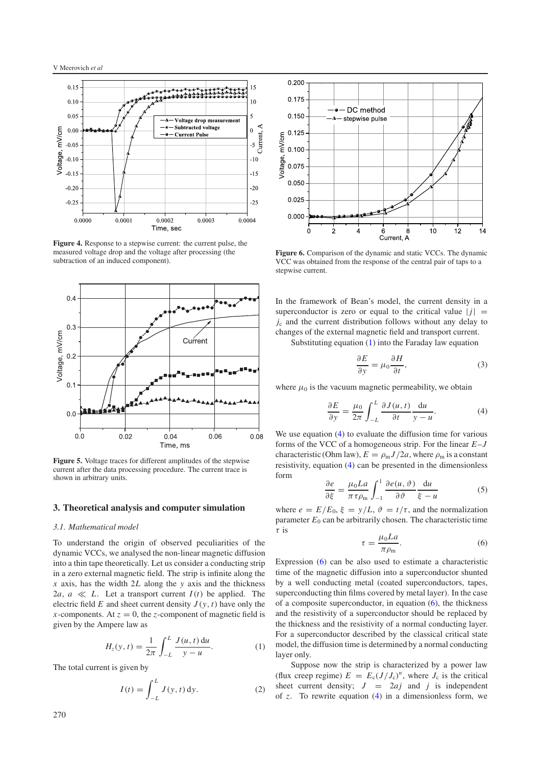<span id="page-3-0"></span>V Meerovich *et al*



<span id="page-3-1"></span>**Figure 4.** Response to a stepwise current: the current pulse, the measured voltage drop and the voltage after processing (the subtraction of an induced component).



**Figure 5.** Voltage traces for different amplitudes of the stepwise current after the data processing procedure. The current trace is shown in arbitrary units.

#### **3. Theoretical analysis and computer simulation**

### *3.1. Mathematical model*

<span id="page-3-3"></span>To understand the origin of observed peculiarities of the dynamic VCCs, we analysed the non-linear magnetic diffusion into a thin tape theoretically. Let us consider a conducting strip in a zero external magnetic field. The strip is infinite along the *x* axis, has the width 2*L* along the *y* axis and the thickness 2*a*,  $a \ll L$ . Let a transport current  $I(t)$  be applied. The electric field *E* and sheet current density  $J(y, t)$  have only the *x*-components. At  $z = 0$ , the *z*-component of magnetic field is given by the Ampere law as

$$
H_z(y,t) = \frac{1}{2\pi} \int_{-L}^{L} \frac{J(u,t) \, du}{y - u}.
$$
 (1)

<span id="page-3-7"></span>The total current is given by

$$
I(t) = \int_{-L}^{L} J(y, t) \, dy.
$$
 (2)

<span id="page-3-2"></span>

**Figure 6.** Comparison of the dynamic and static VCCs. The dynamic VCC was obtained from the response of the central pair of taps to a stepwise current.

In the framework of Bean's model, the current density in a superconductor is zero or equal to the critical value  $|j|$  = *j*<sup>c</sup> and the current distribution follows without any delay to changes of the external magnetic field and transport current.

<span id="page-3-4"></span>Substituting equation [\(1\)](#page-3-3) into the Faraday law equation

$$
\frac{\partial E}{\partial y} = \mu_0 \frac{\partial H}{\partial t},\tag{3}
$$

where  $\mu_0$  is the vacuum magnetic permeability, we obtain

$$
\frac{\partial E}{\partial y} = \frac{\mu_0}{2\pi} \int_{-L}^{L} \frac{\partial J(u, t)}{\partial t} \frac{\mathrm{d}u}{y - u}.
$$
 (4)

<span id="page-3-6"></span>We use equation [\(4\)](#page-3-4) to evaluate the diffusion time for various forms of the VCC of a homogeneous strip. For the linear *E*–*J* characteristic (Ohm law),  $E = \rho_{\rm m} J/2a$ , where  $\rho_{\rm m}$  is a constant resistivity, equation [\(4\)](#page-3-4) can be presented in the dimensionless form

<span id="page-3-5"></span>
$$
\frac{\partial e}{\partial \xi} = \frac{\mu_0 L a}{\pi \tau \rho_m} \int_{-1}^{1} \frac{\partial e(u, \vartheta)}{\partial \vartheta} \frac{du}{\xi - u}
$$
(5)

where  $e = E/E_0$ ,  $\xi = y/L$ ,  $\vartheta = t/\tau$ , and the normalization parameter  $E_0$  can be arbitrarily chosen. The characteristic time τ is

$$
\tau = \frac{\mu_0 L a}{\pi \rho_m}.\tag{6}
$$

Expression [\(6\)](#page-3-5) can be also used to estimate a characteristic time of the magnetic diffusion into a superconductor shunted by a well conducting metal (coated superconductors, tapes, superconducting thin films covered by metal layer). In the case of a composite superconductor, in equation [\(6\)](#page-3-5), the thickness and the resistivity of a superconductor should be replaced by the thickness and the resistivity of a normal conducting layer. For a superconductor described by the classical critical state model, the diffusion time is determined by a normal conducting layer only.

Suppose now the strip is characterized by a power law (flux creep regime)  $E = E_c (J/J_c)^n$ , where  $J_c$  is the critical sheet current density;  $J = 2aj$  and *j* is independent of *z*. To rewrite equation [\(4\)](#page-3-4) in a dimensionless form, we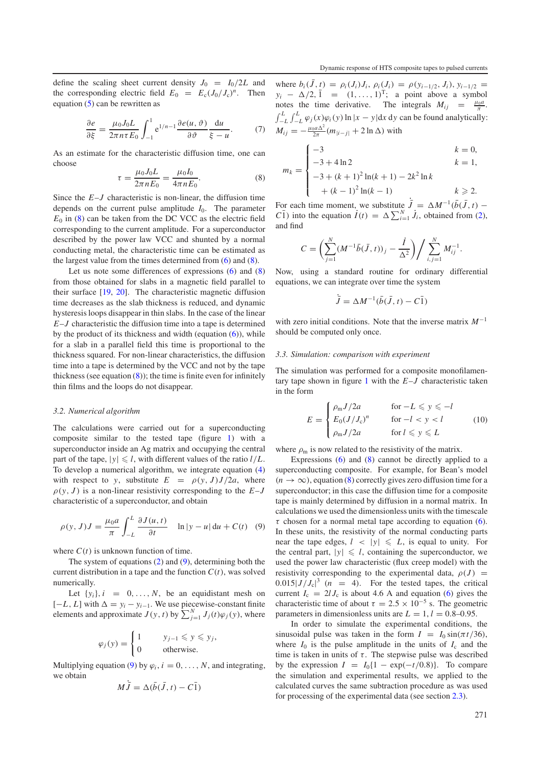<span id="page-4-1"></span>define the scaling sheet current density  $J_0 = I_0/2L$  and the corresponding electric field  $E_0 = E_c (J_0/J_c)^n$ . Then equation  $(5)$  can be rewritten as

$$
\frac{\partial e}{\partial \xi} = \frac{\mu_0 J_0 L}{2\pi n \tau E_0} \int_{-1}^1 e^{1/n - 1} \frac{\partial e(u, \vartheta)}{\partial \vartheta} \frac{du}{\xi - u}.
$$
(7)

As an estimate for the characteristic diffusion time, one can choose

$$
\tau = \frac{\mu_0 I_0 L}{2\pi n E_0} = \frac{\mu_0 I_0}{4\pi n E_0}.
$$
\n(8)

Since the *E*–*J* characteristic is non-linear, the diffusion time depends on the current pulse amplitude  $I_0$ . The parameter  $E_0$  in [\(8\)](#page-4-1) can be taken from the DC VCC as the electric field corresponding to the current amplitude. For a superconductor described by the power law VCC and shunted by a normal conducting metal, the characteristic time can be estimated as the largest value from the times determined from [\(6\)](#page-3-5) and [\(8\)](#page-4-1).

Let us note some differences of expressions [\(6\)](#page-3-5) and [\(8\)](#page-4-1) from those obtained for slabs in a magnetic field parallel to their surface [\[19,](#page-8-8) [20\]](#page-8-17). The characteristic magnetic diffusion time decreases as the slab thickness is reduced, and dynamic hysteresis loops disappear in thin slabs. In the case of the linear *E*–*J* characteristic the diffusion time into a tape is determined by the product of its thickness and width (equation  $(6)$ ), while for a slab in a parallel field this time is proportional to the thickness squared. For non-linear characteristics, the diffusion time into a tape is determined by the VCC and not by the tape thickness (see equation  $(8)$ ); the time is finite even for infinitely thin films and the loops do not disappear.

# *3.2. Numerical algorithm*

<span id="page-4-2"></span>The calculations were carried out for a superconducting composite similar to the tested tape (figure [1\)](#page-1-0) with a superconductor inside an Ag matrix and occupying the central part of the tape,  $|y| \le l$ , with different values of the ratio  $l/L$ . To develop a numerical algorithm, we integrate equation [\(4\)](#page-3-4) with respect to *y*, substitute  $E = \rho(y, J)J/2a$ , where  $\rho(y, J)$  is a non-linear resistivity corresponding to the  $E-J$ characteristic of a superconductor, and obtain

$$
\rho(y, J)J = \frac{\mu_0 a}{\pi} \int_{-L}^{L} \frac{\partial J(u, t)}{\partial t} \quad \ln|y - u| \, \mathrm{d}u + C(t) \quad (9)
$$

where  $C(t)$  is unknown function of time.

The system of equations [\(2\)](#page-3-7) and [\(9\)](#page-4-2), determining both the current distribution in a tape and the function  $C(t)$ , was solved numerically.

Let  $\{y_i\}$ ,  $i = 0, \ldots, N$ , be an equidistant mesh on  $[-L, L]$  with  $\Delta = y_i - y_{i-1}$ . We use piecewise-constant finite elements and approximate  $J(y, t)$  by  $\sum_{j=1}^{N} J_j(t) \varphi_j(y)$ , where

$$
\varphi_j(y) = \begin{cases} 1 & y_{j-1} \leq y \leq y_j, \\ 0 & \text{otherwise.} \end{cases}
$$

Multiplying equation [\(9\)](#page-4-2) by  $\varphi_i$ ,  $i = 0, \ldots, N$ , and integrating, we obtain

$$
M\dot{\bar{J}} = \Delta(\bar{b}(\bar{J}, t) - C\bar{1})
$$

where  $b_i(\bar{J}, t) = \rho_i(J_i)J_i$ ,  $\rho_i(J_i) = \rho(y_{i-1/2}, J_i)$ ,  $y_{i-1/2} =$  $y_i - \Delta/2, \bar{1} = (1, \ldots, 1)^T$ ; a point above a symbol notes the time derivative. The integrals  $M_{ij} = \frac{\mu_0 a}{\pi}$ .  $\int_{-L}^{L} \int_{-L}^{L} \varphi_j(x) \varphi_i(y) \ln|x - y| dx dy$  can be found analytically:  $M_{ij} = -\frac{\mu_0 a \Delta^2}{2\pi} (m_{|i-j|} + 2 \ln \Delta)$  with

$$
m_k = \begin{cases}\n-3 & k = 0, \\
-3 + 4 \ln 2 & k = 1, \\
-3 + (k+1)^2 \ln(k+1) - 2k^2 \ln k & k \neq 2. \\
+(k-1)^2 \ln(k-1) & k \geq 2.\n\end{cases}
$$

For each time moment, we substitute  $\bar{J} = \Delta M^{-1} (\bar{b}(\bar{J}, t) -$ *C*<sup>1</sup>) into the equation  $\dot{I}(t) = \Delta \sum_{i=1}^{N} \dot{J}_i$ , obtained from [\(2\)](#page-3-7), and find

$$
C = \left(\sum_{j=1}^{N} (M^{-1}\bar{b}(\bar{J}, t))_j - \frac{i}{\Delta^2}\right) / \sum_{i,j=1}^{N} M_{ij}^{-1}.
$$

Now, using a standard routine for ordinary differential equations, we can integrate over time the system

$$
\dot{\bar{J}} = \Delta M^{-1} (\bar{b}(\bar{J}, t) - C\bar{1})
$$

<span id="page-4-0"></span>with zero initial conditions. Note that the inverse matrix *M*<sup>−</sup><sup>1</sup> should be computed only once.

#### <span id="page-4-3"></span>*3.3. Simulation: comparison with experiment*

The simulation was performed for a composite monofilamentary tape shown in figure [1](#page-1-0) with the *E*–*J* characteristic taken in the form

$$
E = \begin{cases} \rho_{\rm m} J/2a & \text{for } -L \leqslant y \leqslant -l \\ E_0 (J/J_c)^n & \text{for } -l < y < l \\ \rho_{\rm m} J/2a & \text{for } l \leqslant y \leqslant L \end{cases} \tag{10}
$$

where  $\rho_m$  is now related to the resistivity of the matrix.

Expressions [\(6\)](#page-3-5) and [\(8\)](#page-4-1) cannot be directly applied to a superconducting composite. For example, for Bean's model  $(n \to \infty)$ , equation [\(8\)](#page-4-1) correctly gives zero diffusion time for a superconductor; in this case the diffusion time for a composite tape is mainly determined by diffusion in a normal matrix. In calculations we used the dimensionless units with the timescale  $\tau$  chosen for a normal metal tape according to equation [\(6\)](#page-3-5). In these units, the resistivity of the normal conducting parts near the tape edges,  $l \le |y| \le L$ , is equal to unity. For the central part,  $|y| \le l$ , containing the superconductor, we used the power law characteristic (flux creep model) with the resistivity corresponding to the experimental data,  $\rho(J)$  =  $0.015|J/J_c|^3$  (*n* = 4). For the tested tapes, the critical current  $I_c = 2l J_c$  is about 4.6 A and equation [\(6\)](#page-3-5) gives the characteristic time of about  $\tau = 2.5 \times 10^{-5}$  s. The geometric parameters in dimensionless units are  $L = 1$ ,  $l = 0.8{\text -}0.95$ .

In order to simulate the experimental conditions, the sinusoidal pulse was taken in the form  $I = I_0 \sin(\pi t/36)$ , where  $I_0$  is the pulse amplitude in the units of  $I_c$  and the time is taken in units of  $\tau$ . The stepwise pulse was described by the expression  $I = I_0\{1 - \exp(-t/0.8)\}\$ . To compare the simulation and experimental results, we applied to the calculated curves the same subtraction procedure as was used for processing of the experimental data (see section [2.3\)](#page-2-1).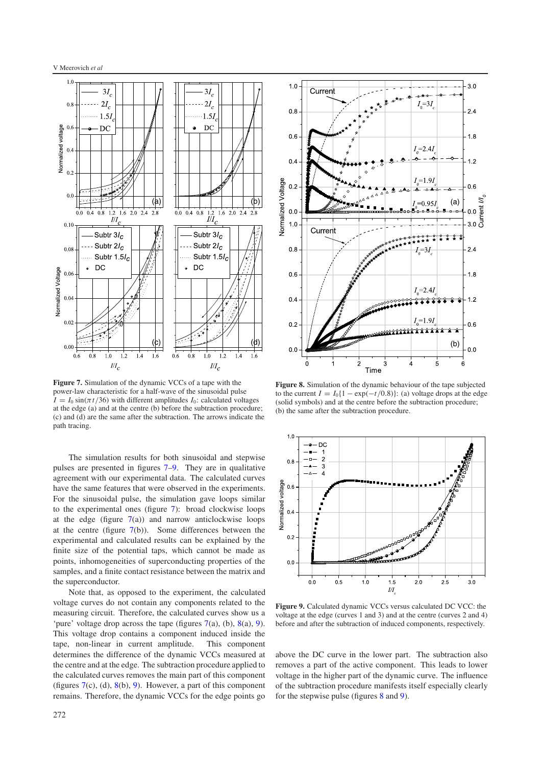<span id="page-5-0"></span>

**Figure 7.** Simulation of the dynamic VCCs of a tape with the power-law characteristic for a half-wave of the sinusoidal pulse  $I = I_0 \sin(\pi t/36)$  with different amplitudes  $I_0$ : calculated voltages at the edge (a) and at the centre (b) before the subtraction procedure; (c) and (d) are the same after the subtraction. The arrows indicate the path tracing.

The simulation results for both sinusoidal and stepwise pulses are presented in figures [7](#page-5-0)[–9.](#page-5-1) They are in qualitative agreement with our experimental data. The calculated curves have the same features that were observed in the experiments. For the sinusoidal pulse, the simulation gave loops similar to the experimental ones (figure [7\)](#page-5-0): broad clockwise loops at the edge (figure  $7(a)$  $7(a)$ ) and narrow anticlockwise loops at the centre (figure  $7(b)$  $7(b)$ ). Some differences between the experimental and calculated results can be explained by the finite size of the potential taps, which cannot be made as points, inhomogeneities of superconducting properties of the samples, and a finite contact resistance between the matrix and the superconductor.

Note that, as opposed to the experiment, the calculated voltage curves do not contain any components related to the measuring circuit. Therefore, the calculated curves show us a 'pure' voltage drop across the tape (figures  $7(a)$  $7(a)$ , (b),  $8(a)$  $8(a)$ , [9\)](#page-5-1). This voltage drop contains a component induced inside the tape, non-linear in current amplitude. This component determines the difference of the dynamic VCCs measured at the centre and at the edge. The subtraction procedure applied to the calculated curves removes the main part of this component (figures  $7(c)$  $7(c)$ , (d),  $8(b)$  $8(b)$ , [9\)](#page-5-1). However, a part of this component remains. Therefore, the dynamic VCCs for the edge points go

<span id="page-5-2"></span>

<span id="page-5-1"></span>**Figure 8.** Simulation of the dynamic behaviour of the tape subjected to the current  $I = I_0\{1 - \exp(-t/0.8)\}\colon$  (a) voltage drops at the edge (solid symbols) and at the centre before the subtraction procedure; (b) the same after the subtraction procedure.



**Figure 9.** Calculated dynamic VCCs versus calculated DC VCC: the voltage at the edge (curves 1 and 3) and at the centre (curves 2 and 4) before and after the subtraction of induced components, respectively.

above the DC curve in the lower part. The subtraction also removes a part of the active component. This leads to lower voltage in the higher part of the dynamic curve. The influence of the subtraction procedure manifests itself especially clearly for the stepwise pulse (figures [8](#page-5-2) and [9\)](#page-5-1).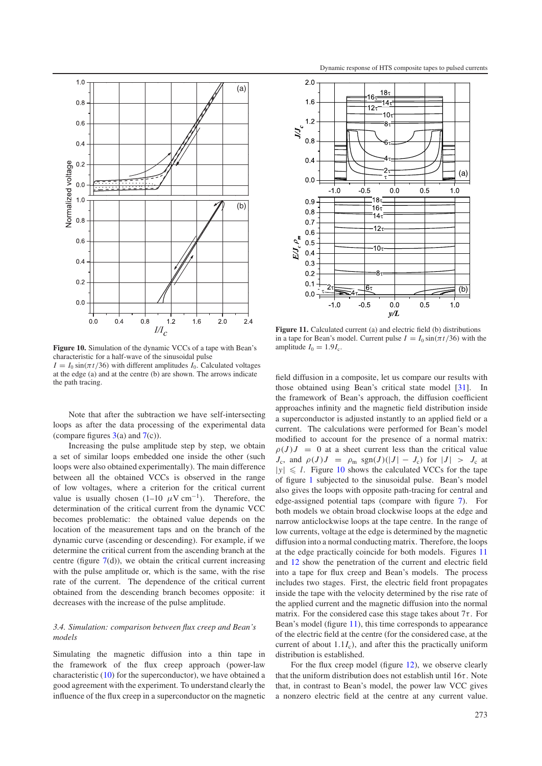<span id="page-6-0"></span>

**Figure 10.** Simulation of the dynamic VCCs of a tape with Bean's characteristic for a half-wave of the sinusoidal pulse  $I = I_0 \sin(\pi t/36)$  with different amplitudes  $I_0$ . Calculated voltages at the edge (a) and at the centre (b) are shown. The arrows indicate the path tracing.

Note that after the subtraction we have self-intersecting loops as after the data processing of the experimental data (compare figures  $3(a)$  $3(a)$  and  $7(c)$  $7(c)$ ).

Increasing the pulse amplitude step by step, we obtain a set of similar loops embedded one inside the other (such loops were also obtained experimentally). The main difference between all the obtained VCCs is observed in the range of low voltages, where a criterion for the critical current value is usually chosen  $(1-10 \mu V \text{ cm}^{-1})$ . Therefore, the determination of the critical current from the dynamic VCC becomes problematic: the obtained value depends on the location of the measurement taps and on the branch of the dynamic curve (ascending or descending). For example, if we determine the critical current from the ascending branch at the centre (figure  $7(d)$  $7(d)$ ), we obtain the critical current increasing with the pulse amplitude or, which is the same, with the rise rate of the current. The dependence of the critical current obtained from the descending branch becomes opposite: it decreases with the increase of the pulse amplitude.

# *3.4. Simulation: comparison between flux creep and Bean's models*

Simulating the magnetic diffusion into a thin tape in the framework of the flux creep approach (power-law characteristic  $(10)$  for the superconductor), we have obtained a good agreement with the experiment. To understand clearly the influence of the flux creep in a superconductor on the magnetic

<span id="page-6-1"></span>

Figure 11. Calculated current (a) and electric field (b) distributions in a tape for Bean's model. Current pulse  $I = I_0 \sin(\pi t/36)$  with the amplitude  $I_0 = 1.9I_c$ .

field diffusion in a composite, let us compare our results with those obtained using Bean's critical state model [\[31\]](#page-8-18). In the framework of Bean's approach, the diffusion coefficient approaches infinity and the magnetic field distribution inside a superconductor is adjusted instantly to an applied field or a current. The calculations were performed for Bean's model modified to account for the presence of a normal matrix:  $\rho(J)J = 0$  at a sheet current less than the critical value  $J_c$ , and  $\rho(J)J = \rho_m \text{sgn}(J)(|J| - J_c)$  for  $|J| > J_c$  at  $|y| \le l$ . Figure [10](#page-6-0) shows the calculated VCCs for the tape of figure [1](#page-1-0) subjected to the sinusoidal pulse. Bean's model also gives the loops with opposite path-tracing for central and edge-assigned potential taps (compare with figure [7\)](#page-5-0). For both models we obtain broad clockwise loops at the edge and narrow anticlockwise loops at the tape centre. In the range of low currents, voltage at the edge is determined by the magnetic diffusion into a normal conducting matrix. Therefore, the loops at the edge practically coincide for both models. Figures [11](#page-6-1) and [12](#page-7-1) show the penetration of the current and electric field into a tape for flux creep and Bean's models. The process includes two stages. First, the electric field front propagates inside the tape with the velocity determined by the rise rate of the applied current and the magnetic diffusion into the normal matrix. For the considered case this stage takes about  $7\tau$ . For Bean's model (figure [11\)](#page-6-1), this time corresponds to appearance of the electric field at the centre (for the considered case, at the current of about  $1.1I_c$ ), and after this the practically uniform distribution is established.

For the flux creep model (figure [12\)](#page-7-1), we observe clearly that the uniform distribution does not establish until  $16\tau$ . Note that, in contrast to Bean's model, the power law VCC gives a nonzero electric field at the centre at any current value.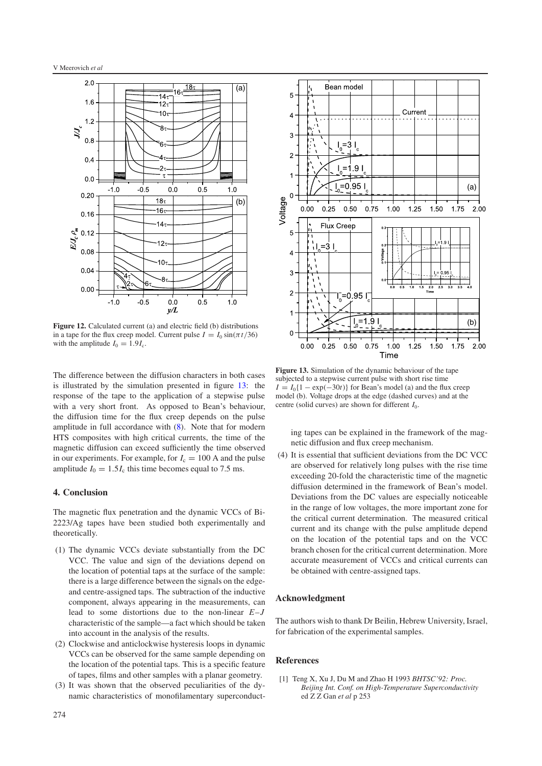<span id="page-7-1"></span>

**Figure 12.** Calculated current (a) and electric field (b) distributions in a tape for the flux creep model. Current pulse  $I = I_0 \sin(\pi t/36)$ with the amplitude  $I_0 = 1.9I_c$ .

The difference between the diffusion characters in both cases is illustrated by the simulation presented in figure [13:](#page-7-2) the response of the tape to the application of a stepwise pulse with a very short front. As opposed to Bean's behaviour, the diffusion time for the flux creep depends on the pulse amplitude in full accordance with [\(8\)](#page-4-1). Note that for modern HTS composites with high critical currents, the time of the magnetic diffusion can exceed sufficiently the time observed in our experiments. For example, for  $I_c = 100$  A and the pulse amplitude  $I_0 = 1.5I_c$  this time becomes equal to 7.5 ms.

# **4. Conclusion**

The magnetic flux penetration and the dynamic VCCs of Bi-2223/Ag tapes have been studied both experimentally and theoretically.

- (1) The dynamic VCCs deviate substantially from the DC VCC. The value and sign of the deviations depend on the location of potential taps at the surface of the sample: there is a large difference between the signals on the edgeand centre-assigned taps. The subtraction of the inductive component, always appearing in the measurements, can lead to some distortions due to the non-linear *E*–*J* characteristic of the sample—a fact which should be taken into account in the analysis of the results.
- (2) Clockwise and anticlockwise hysteresis loops in dynamic VCCs can be observed for the same sample depending on the location of the potential taps. This is a specific feature of tapes, films and other samples with a planar geometry.
- (3) It was shown that the observed peculiarities of the dynamic characteristics of monofilamentary superconduct-

<span id="page-7-2"></span>

**Figure 13.** Simulation of the dynamic behaviour of the tape subjected to a stepwise current pulse with short rise time  $I = I_0\{1 - \exp(-30t)\}\$ for Bean's model (a) and the flux creep model (b). Voltage drops at the edge (dashed curves) and at the centre (solid curves) are shown for different *I*0.

ing tapes can be explained in the framework of the magnetic diffusion and flux creep mechanism.

(4) It is essential that sufficient deviations from the DC VCC are observed for relatively long pulses with the rise time exceeding 20-fold the characteristic time of the magnetic diffusion determined in the framework of Bean's model. Deviations from the DC values are especially noticeable in the range of low voltages, the more important zone for the critical current determination. The measured critical current and its change with the pulse amplitude depend on the location of the potential taps and on the VCC branch chosen for the critical current determination. More accurate measurement of VCCs and critical currents can be obtained with centre-assigned taps.

# **Acknowledgment**

<span id="page-7-0"></span>The authors wish to thank Dr Beilin, Hebrew University, Israel, for fabrication of the experimental samples.

#### **References**

[1] Teng X, Xu J, Du M and Zhao H 1993 *BHTSC'92: Proc. Beijing Int. Conf. on High-Temperature Superconductivity* ed Z Z Gan *et al* p 253